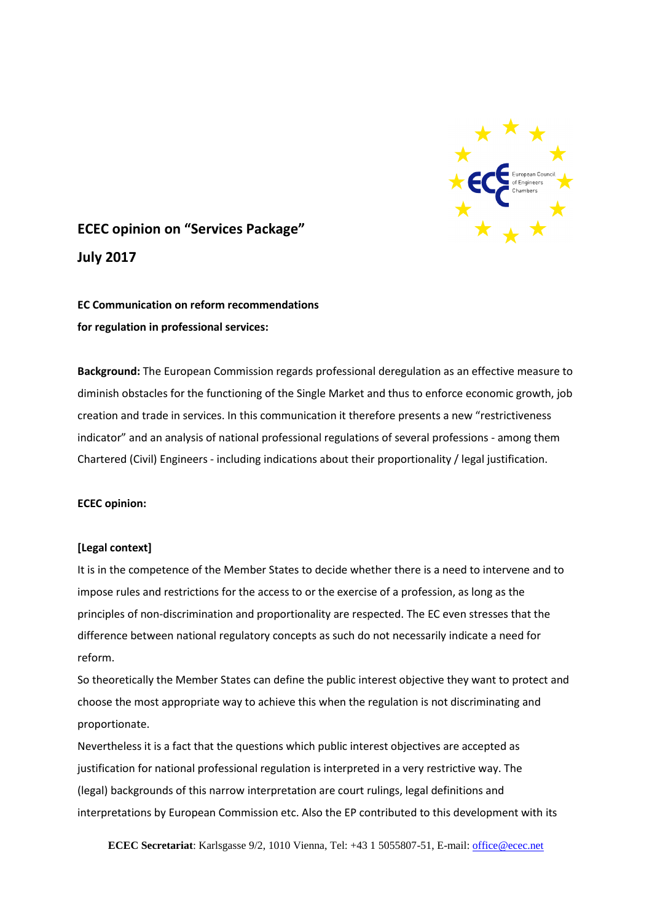

# **ECEC opinion on "Services Package" July 2017**

**EC Communication on reform recommendations for regulation in professional services:**

**Background:** The European Commission regards professional deregulation as an effective measure to diminish obstacles for the functioning of the Single Market and thus to enforce economic growth, job creation and trade in services. In this communication it therefore presents a new "restrictiveness indicator" and an analysis of national professional regulations of several professions - among them Chartered (Civil) Engineers - including indications about their proportionality / legal justification.

## **ECEC opinion:**

## **[Legal context]**

It is in the competence of the Member States to decide whether there is a need to intervene and to impose rules and restrictions for the access to or the exercise of a profession, as long as the principles of non-discrimination and proportionality are respected. The EC even stresses that the difference between national regulatory concepts as such do not necessarily indicate a need for reform.

So theoretically the Member States can define the public interest objective they want to protect and choose the most appropriate way to achieve this when the regulation is not discriminating and proportionate.

Nevertheless it is a fact that the questions which public interest objectives are accepted as justification for national professional regulation is interpreted in a very restrictive way. The (legal) backgrounds of this narrow interpretation are court rulings, legal definitions and interpretations by European Commission etc. Also the EP contributed to this development with its

**ECEC Secretariat**: Karlsgasse 9/2, 1010 Vienna, Tel: +43 1 5055807-51, E-mail[: office@ecec.net](mailto:office@ecec.net)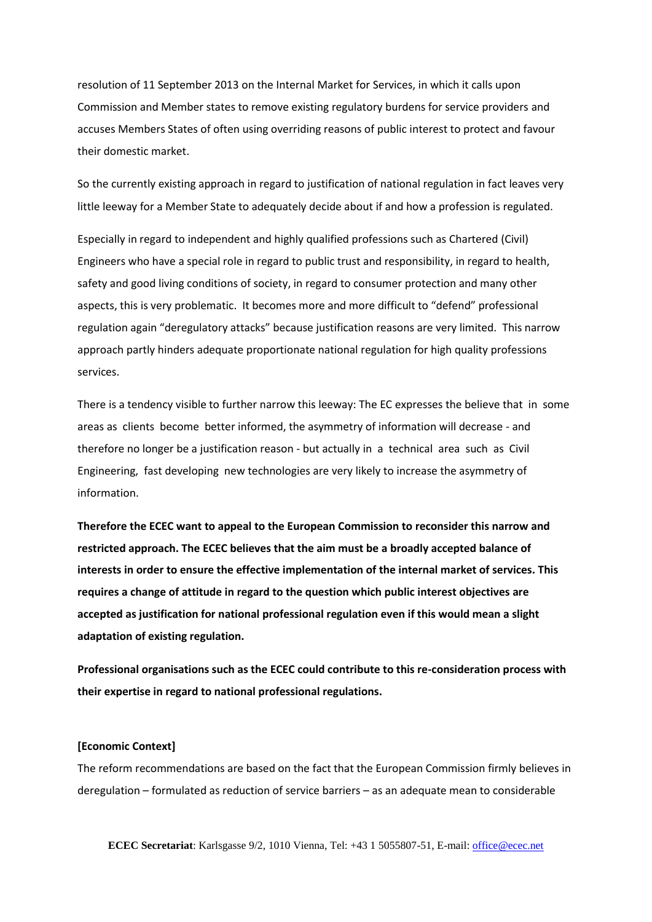resolution of 11 September 2013 on the Internal Market for Services, in which it calls upon Commission and Member states to remove existing regulatory burdens for service providers and accuses Members States of often using overriding reasons of public interest to protect and favour their domestic market.

So the currently existing approach in regard to justification of national regulation in fact leaves very little leeway for a Member State to adequately decide about if and how a profession is regulated.

Especially in regard to independent and highly qualified professions such as Chartered (Civil) Engineers who have a special role in regard to public trust and responsibility, in regard to health, safety and good living conditions of society, in regard to consumer protection and many other aspects, this is very problematic. It becomes more and more difficult to "defend" professional regulation again "deregulatory attacks" because justification reasons are very limited. This narrow approach partly hinders adequate proportionate national regulation for high quality professions services.

There is a tendency visible to further narrow this leeway: The EC expresses the believe that in some areas as clients become better informed, the asymmetry of information will decrease - and therefore no longer be a justification reason - but actually in a technical area such as Civil Engineering, fast developing new technologies are very likely to increase the asymmetry of information.

**Therefore the ECEC want to appeal to the European Commission to reconsider this narrow and restricted approach. The ECEC believes that the aim must be a broadly accepted balance of interests in order to ensure the effective implementation of the internal market of services. This requires a change of attitude in regard to the question which public interest objectives are accepted as justification for national professional regulation even if this would mean a slight adaptation of existing regulation.**

**Professional organisations such as the ECEC could contribute to this re-consideration process with their expertise in regard to national professional regulations.**

#### **[Economic Context]**

The reform recommendations are based on the fact that the European Commission firmly believes in deregulation – formulated as reduction of service barriers – as an adequate mean to considerable

**ECEC Secretariat**: Karlsgasse 9/2, 1010 Vienna, Tel: +43 1 5055807-51, E-mail[: office@ecec.net](mailto:office@ecec.net)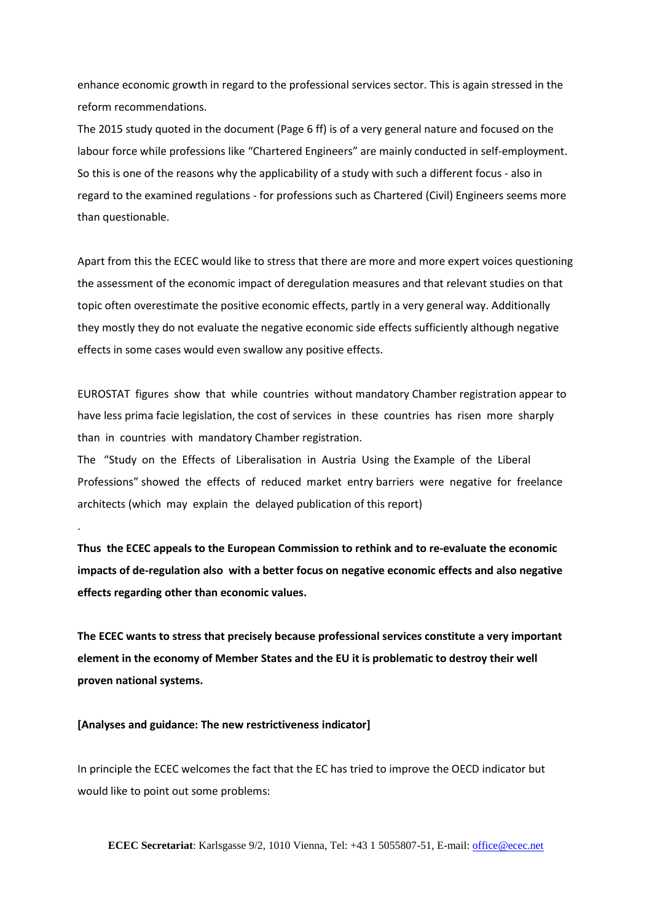enhance economic growth in regard to the professional services sector. This is again stressed in the reform recommendations.

The 2015 study quoted in the document (Page 6 ff) is of a very general nature and focused on the labour force while professions like "Chartered Engineers" are mainly conducted in self-employment. So this is one of the reasons why the applicability of a study with such a different focus - also in regard to the examined regulations - for professions such as Chartered (Civil) Engineers seems more than questionable.

Apart from this the ECEC would like to stress that there are more and more expert voices questioning the assessment of the economic impact of deregulation measures and that relevant studies on that topic often overestimate the positive economic effects, partly in a very general way. Additionally they mostly they do not evaluate the negative economic side effects sufficiently although negative effects in some cases would even swallow any positive effects.

EUROSTAT figures show that while countries without mandatory Chamber registration appear to have less prima facie legislation, the cost of services in these countries has risen more sharply than in countries with mandatory Chamber registration.

The "Study on the Effects of Liberalisation in Austria Using the Example of the Liberal Professions" showed the effects of reduced market entry barriers were negative for freelance architects (which may explain the delayed publication of this report)

**Thus the ECEC appeals to the European Commission to rethink and to re-evaluate the economic impacts of de-regulation also with a better focus on negative economic effects and also negative effects regarding other than economic values.** 

**The ECEC wants to stress that precisely because professional services constitute a very important element in the economy of Member States and the EU it is problematic to destroy their well proven national systems.** 

#### **[Analyses and guidance: The new restrictiveness indicator]**

.

In principle the ECEC welcomes the fact that the EC has tried to improve the OECD indicator but would like to point out some problems:

**ECEC Secretariat**: Karlsgasse 9/2, 1010 Vienna, Tel: +43 1 5055807-51, E-mail[: office@ecec.net](mailto:office@ecec.net)